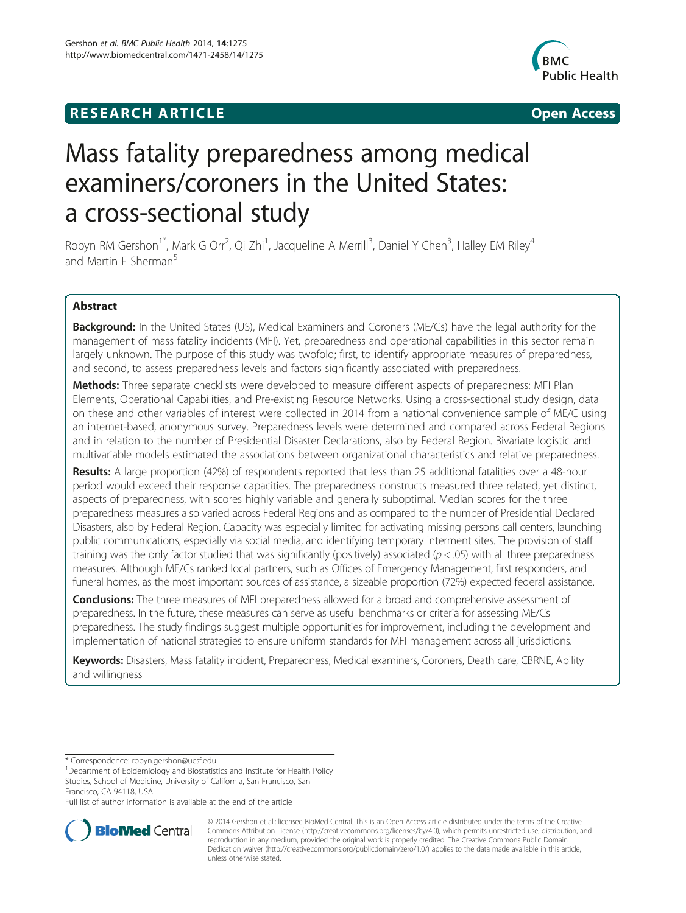# **RESEARCH ARTICLE Example 2008 CONSIDERING CONSIDERING CONSIDERING CONSIDERING CONSIDERING CONSIDERING CONSIDERING CONSIDERING CONSIDERING CONSIDERING CONSIDERING CONSIDERING CONSIDERING CONSIDERING CONSIDERING CONSIDE**



# Mass fatality preparedness among medical examiners/coroners in the United States: a cross-sectional study

Robyn RM Gershon<sup>1\*</sup>, Mark G Orr<sup>2</sup>, Qi Zhi<sup>1</sup>, Jacqueline A Merrill<sup>3</sup>, Daniel Y Chen<sup>3</sup>, Halley EM Riley<sup>4</sup> and Martin F Sherman<sup>5</sup>

# Abstract

**Background:** In the United States (US), Medical Examiners and Coroners (ME/Cs) have the legal authority for the management of mass fatality incidents (MFI). Yet, preparedness and operational capabilities in this sector remain largely unknown. The purpose of this study was twofold; first, to identify appropriate measures of preparedness, and second, to assess preparedness levels and factors significantly associated with preparedness.

Methods: Three separate checklists were developed to measure different aspects of preparedness: MFI Plan Elements, Operational Capabilities, and Pre-existing Resource Networks. Using a cross-sectional study design, data on these and other variables of interest were collected in 2014 from a national convenience sample of ME/C using an internet-based, anonymous survey. Preparedness levels were determined and compared across Federal Regions and in relation to the number of Presidential Disaster Declarations, also by Federal Region. Bivariate logistic and multivariable models estimated the associations between organizational characteristics and relative preparedness.

Results: A large proportion (42%) of respondents reported that less than 25 additional fatalities over a 48-hour period would exceed their response capacities. The preparedness constructs measured three related, yet distinct, aspects of preparedness, with scores highly variable and generally suboptimal. Median scores for the three preparedness measures also varied across Federal Regions and as compared to the number of Presidential Declared Disasters, also by Federal Region. Capacity was especially limited for activating missing persons call centers, launching public communications, especially via social media, and identifying temporary interment sites. The provision of staff training was the only factor studied that was significantly (positively) associated ( $p < .05$ ) with all three preparedness measures. Although ME/Cs ranked local partners, such as Offices of Emergency Management, first responders, and funeral homes, as the most important sources of assistance, a sizeable proportion (72%) expected federal assistance.

**Conclusions:** The three measures of MFI preparedness allowed for a broad and comprehensive assessment of preparedness. In the future, these measures can serve as useful benchmarks or criteria for assessing ME/Cs preparedness. The study findings suggest multiple opportunities for improvement, including the development and implementation of national strategies to ensure uniform standards for MFI management across all jurisdictions.

Keywords: Disasters, Mass fatality incident, Preparedness, Medical examiners, Coroners, Death care, CBRNE, Ability and willingness

\* Correspondence: [robyn.gershon@ucsf.edu](mailto:robyn.gershon@ucsf.edu) <sup>1</sup>

Full list of author information is available at the end of the article



© 2014 Gershon et al.; licensee BioMed Central. This is an Open Access article distributed under the terms of the Creative Commons Attribution License [\(http://creativecommons.org/licenses/by/4.0\)](http://creativecommons.org/licenses/by/4.0), which permits unrestricted use, distribution, and reproduction in any medium, provided the original work is properly credited. The Creative Commons Public Domain Dedication waiver [\(http://creativecommons.org/publicdomain/zero/1.0/](http://creativecommons.org/publicdomain/zero/1.0/)) applies to the data made available in this article, unless otherwise stated.

Department of Epidemiology and Biostatistics and Institute for Health Policy Studies, School of Medicine, University of California, San Francisco, San Francisco, CA 94118, USA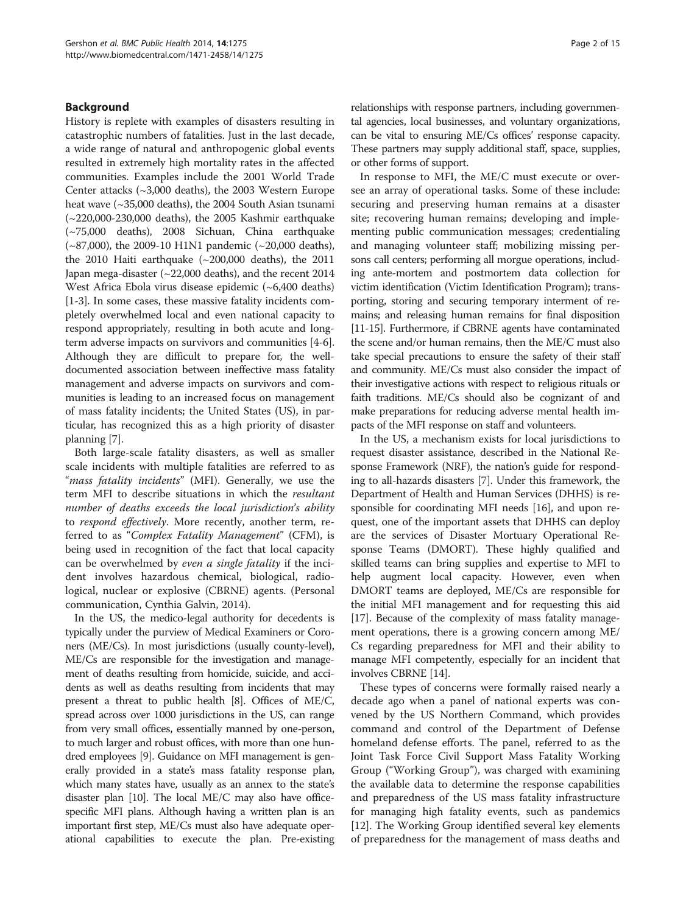#### Background

History is replete with examples of disasters resulting in catastrophic numbers of fatalities. Just in the last decade, a wide range of natural and anthropogenic global events resulted in extremely high mortality rates in the affected communities. Examples include the 2001 World Trade Center attacks (~3,000 deaths), the 2003 Western Europe heat wave (~35,000 deaths), the 2004 South Asian tsunami (~220,000-230,000 deaths), the 2005 Kashmir earthquake (~75,000 deaths), 2008 Sichuan, China earthquake  $(-87,000)$ , the 2009-10 H1N1 pandemic  $(-20,000 \text{ deaths})$ , the 2010 Haiti earthquake  $(\sim 200,000$  deaths), the 2011 Japan mega-disaster  $(\sim 22,000$  deaths), and the recent 2014 West Africa Ebola virus disease epidemic (~6,400 deaths) [[1-3\]](#page-13-0). In some cases, these massive fatality incidents completely overwhelmed local and even national capacity to respond appropriately, resulting in both acute and longterm adverse impacts on survivors and communities [\[4](#page-13-0)-[6](#page-13-0)]. Although they are difficult to prepare for, the welldocumented association between ineffective mass fatality management and adverse impacts on survivors and communities is leading to an increased focus on management of mass fatality incidents; the United States (US), in particular, has recognized this as a high priority of disaster planning [\[7](#page-13-0)].

Both large-scale fatality disasters, as well as smaller scale incidents with multiple fatalities are referred to as "mass fatality incidents" (MFI). Generally, we use the term MFI to describe situations in which the resultant number of deaths exceeds the local jurisdiction's ability to respond effectively. More recently, another term, referred to as "Complex Fatality Management" (CFM), is being used in recognition of the fact that local capacity can be overwhelmed by even a single fatality if the incident involves hazardous chemical, biological, radiological, nuclear or explosive (CBRNE) agents. (Personal communication, Cynthia Galvin, 2014).

In the US, the medico-legal authority for decedents is typically under the purview of Medical Examiners or Coroners (ME/Cs). In most jurisdictions (usually county-level), ME/Cs are responsible for the investigation and management of deaths resulting from homicide, suicide, and accidents as well as deaths resulting from incidents that may present a threat to public health [[8](#page-13-0)]. Offices of ME/C, spread across over 1000 jurisdictions in the US, can range from very small offices, essentially manned by one-person, to much larger and robust offices, with more than one hundred employees [\[9\]](#page-13-0). Guidance on MFI management is generally provided in a state's mass fatality response plan, which many states have, usually as an annex to the state's disaster plan [[10](#page-13-0)]. The local ME/C may also have officespecific MFI plans. Although having a written plan is an important first step, ME/Cs must also have adequate operational capabilities to execute the plan. Pre-existing relationships with response partners, including governmental agencies, local businesses, and voluntary organizations, can be vital to ensuring ME/Cs offices' response capacity. These partners may supply additional staff, space, supplies, or other forms of support.

In response to MFI, the ME/C must execute or oversee an array of operational tasks. Some of these include: securing and preserving human remains at a disaster site; recovering human remains; developing and implementing public communication messages; credentialing and managing volunteer staff; mobilizing missing persons call centers; performing all morgue operations, including ante-mortem and postmortem data collection for victim identification (Victim Identification Program); transporting, storing and securing temporary interment of remains; and releasing human remains for final disposition [[11](#page-13-0)-[15\]](#page-13-0). Furthermore, if CBRNE agents have contaminated the scene and/or human remains, then the ME/C must also take special precautions to ensure the safety of their staff and community. ME/Cs must also consider the impact of their investigative actions with respect to religious rituals or faith traditions. ME/Cs should also be cognizant of and make preparations for reducing adverse mental health impacts of the MFI response on staff and volunteers.

In the US, a mechanism exists for local jurisdictions to request disaster assistance, described in the National Response Framework (NRF), the nation's guide for responding to all-hazards disasters [\[7\]](#page-13-0). Under this framework, the Department of Health and Human Services (DHHS) is responsible for coordinating MFI needs [[16](#page-13-0)], and upon request, one of the important assets that DHHS can deploy are the services of Disaster Mortuary Operational Response Teams (DMORT). These highly qualified and skilled teams can bring supplies and expertise to MFI to help augment local capacity. However, even when DMORT teams are deployed, ME/Cs are responsible for the initial MFI management and for requesting this aid [[17](#page-13-0)]. Because of the complexity of mass fatality management operations, there is a growing concern among ME/ Cs regarding preparedness for MFI and their ability to manage MFI competently, especially for an incident that involves CBRNE [\[14\]](#page-13-0).

These types of concerns were formally raised nearly a decade ago when a panel of national experts was convened by the US Northern Command, which provides command and control of the Department of Defense homeland defense efforts. The panel, referred to as the Joint Task Force Civil Support Mass Fatality Working Group ("Working Group"), was charged with examining the available data to determine the response capabilities and preparedness of the US mass fatality infrastructure for managing high fatality events, such as pandemics [[12\]](#page-13-0). The Working Group identified several key elements of preparedness for the management of mass deaths and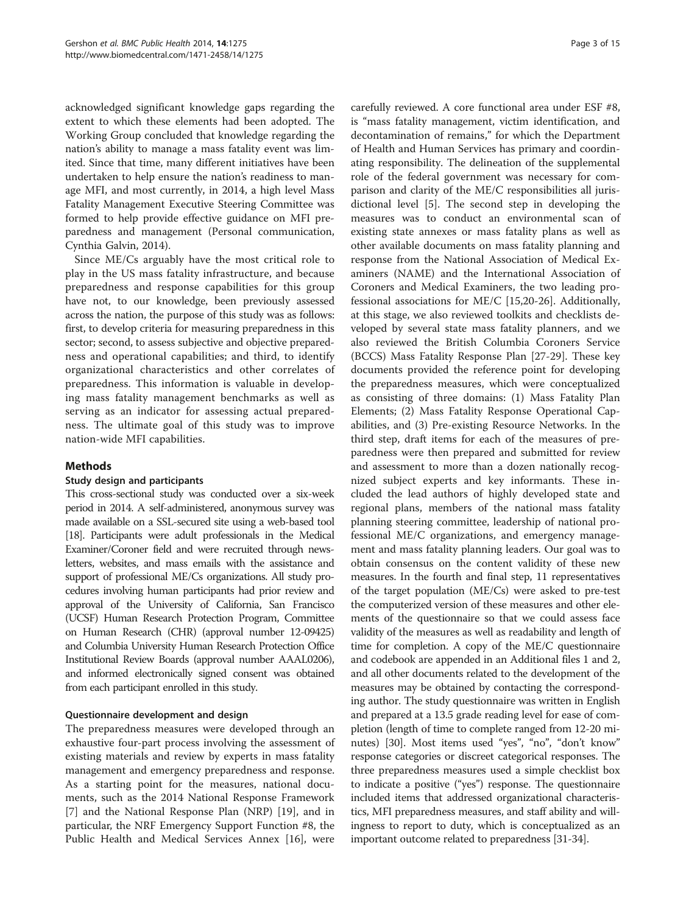acknowledged significant knowledge gaps regarding the extent to which these elements had been adopted. The Working Group concluded that knowledge regarding the nation's ability to manage a mass fatality event was limited. Since that time, many different initiatives have been undertaken to help ensure the nation's readiness to manage MFI, and most currently, in 2014, a high level Mass Fatality Management Executive Steering Committee was formed to help provide effective guidance on MFI preparedness and management (Personal communication, Cynthia Galvin, 2014).

Since ME/Cs arguably have the most critical role to play in the US mass fatality infrastructure, and because preparedness and response capabilities for this group have not, to our knowledge, been previously assessed across the nation, the purpose of this study was as follows: first, to develop criteria for measuring preparedness in this sector; second, to assess subjective and objective preparedness and operational capabilities; and third, to identify organizational characteristics and other correlates of preparedness. This information is valuable in developing mass fatality management benchmarks as well as serving as an indicator for assessing actual preparedness. The ultimate goal of this study was to improve nation-wide MFI capabilities.

# Methods

# Study design and participants

This cross-sectional study was conducted over a six-week period in 2014. A self-administered, anonymous survey was made available on a SSL-secured site using a web-based tool [[18\]](#page-13-0). Participants were adult professionals in the Medical Examiner/Coroner field and were recruited through newsletters, websites, and mass emails with the assistance and support of professional ME/Cs organizations. All study procedures involving human participants had prior review and approval of the University of California, San Francisco (UCSF) Human Research Protection Program, Committee on Human Research (CHR) (approval number 12-09425) and Columbia University Human Research Protection Office Institutional Review Boards (approval number AAAL0206), and informed electronically signed consent was obtained from each participant enrolled in this study.

# Questionnaire development and design

The preparedness measures were developed through an exhaustive four-part process involving the assessment of existing materials and review by experts in mass fatality management and emergency preparedness and response. As a starting point for the measures, national documents, such as the 2014 National Response Framework [[7\]](#page-13-0) and the National Response Plan (NRP) [\[19](#page-13-0)], and in particular, the NRF Emergency Support Function #8, the Public Health and Medical Services Annex [[16\]](#page-13-0), were

carefully reviewed. A core functional area under ESF #8, is "mass fatality management, victim identification, and decontamination of remains," for which the Department of Health and Human Services has primary and coordinating responsibility. The delineation of the supplemental role of the federal government was necessary for comparison and clarity of the ME/C responsibilities all jurisdictional level [[5\]](#page-13-0). The second step in developing the measures was to conduct an environmental scan of existing state annexes or mass fatality plans as well as other available documents on mass fatality planning and response from the National Association of Medical Examiners (NAME) and the International Association of Coroners and Medical Examiners, the two leading professional associations for ME/C [\[15,20](#page-13-0)-[26](#page-13-0)]. Additionally, at this stage, we also reviewed toolkits and checklists developed by several state mass fatality planners, and we also reviewed the British Columbia Coroners Service (BCCS) Mass Fatality Response Plan [\[27](#page-13-0)-[29\]](#page-13-0). These key documents provided the reference point for developing the preparedness measures, which were conceptualized as consisting of three domains: (1) Mass Fatality Plan Elements; (2) Mass Fatality Response Operational Capabilities, and (3) Pre-existing Resource Networks. In the third step, draft items for each of the measures of preparedness were then prepared and submitted for review and assessment to more than a dozen nationally recognized subject experts and key informants. These included the lead authors of highly developed state and regional plans, members of the national mass fatality planning steering committee, leadership of national professional ME/C organizations, and emergency management and mass fatality planning leaders. Our goal was to obtain consensus on the content validity of these new measures. In the fourth and final step, 11 representatives of the target population (ME/Cs) were asked to pre-test the computerized version of these measures and other elements of the questionnaire so that we could assess face validity of the measures as well as readability and length of time for completion. A copy of the ME/C questionnaire and codebook are appended in an Additional files [1](#page-12-0) and [2](#page-12-0), and all other documents related to the development of the measures may be obtained by contacting the corresponding author. The study questionnaire was written in English and prepared at a 13.5 grade reading level for ease of completion (length of time to complete ranged from 12-20 minutes) [[30](#page-13-0)]. Most items used "yes", "no", "don't know" response categories or discreet categorical responses. The three preparedness measures used a simple checklist box to indicate a positive ("yes") response. The questionnaire included items that addressed organizational characteristics, MFI preparedness measures, and staff ability and willingness to report to duty, which is conceptualized as an important outcome related to preparedness [[31](#page-13-0)-[34](#page-14-0)].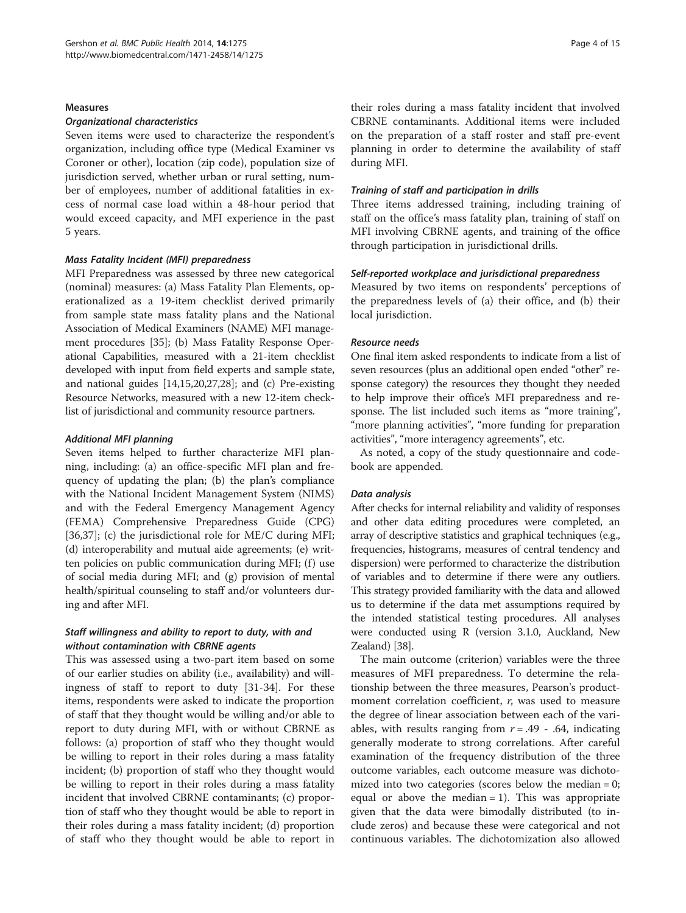#### **Measures**

#### Organizational characteristics

Seven items were used to characterize the respondent's organization, including office type (Medical Examiner vs Coroner or other), location (zip code), population size of jurisdiction served, whether urban or rural setting, number of employees, number of additional fatalities in excess of normal case load within a 48-hour period that would exceed capacity, and MFI experience in the past 5 years.

#### Mass Fatality Incident (MFI) preparedness

MFI Preparedness was assessed by three new categorical (nominal) measures: (a) Mass Fatality Plan Elements, operationalized as a 19-item checklist derived primarily from sample state mass fatality plans and the National Association of Medical Examiners (NAME) MFI management procedures [\[35\]](#page-14-0); (b) Mass Fatality Response Operational Capabilities, measured with a 21-item checklist developed with input from field experts and sample state, and national guides [\[14,15,20,27,28\]](#page-13-0); and (c) Pre-existing Resource Networks, measured with a new 12-item checklist of jurisdictional and community resource partners.

#### Additional MFI planning

Seven items helped to further characterize MFI planning, including: (a) an office-specific MFI plan and frequency of updating the plan; (b) the plan's compliance with the National Incident Management System (NIMS) and with the Federal Emergency Management Agency (FEMA) Comprehensive Preparedness Guide (CPG) [[36,37\]](#page-14-0); (c) the jurisdictional role for ME/C during MFI; (d) interoperability and mutual aide agreements; (e) written policies on public communication during MFI; (f) use of social media during MFI; and (g) provision of mental health/spiritual counseling to staff and/or volunteers during and after MFI.

# Staff willingness and ability to report to duty, with and without contamination with CBRNE agents

This was assessed using a two-part item based on some of our earlier studies on ability (i.e., availability) and willingness of staff to report to duty [\[31](#page-13-0)-[34\]](#page-14-0). For these items, respondents were asked to indicate the proportion of staff that they thought would be willing and/or able to report to duty during MFI, with or without CBRNE as follows: (a) proportion of staff who they thought would be willing to report in their roles during a mass fatality incident; (b) proportion of staff who they thought would be willing to report in their roles during a mass fatality incident that involved CBRNE contaminants; (c) proportion of staff who they thought would be able to report in their roles during a mass fatality incident; (d) proportion of staff who they thought would be able to report in their roles during a mass fatality incident that involved CBRNE contaminants. Additional items were included on the preparation of a staff roster and staff pre-event planning in order to determine the availability of staff during MFI.

#### Training of staff and participation in drills

Three items addressed training, including training of staff on the office's mass fatality plan, training of staff on MFI involving CBRNE agents, and training of the office through participation in jurisdictional drills.

#### Self-reported workplace and jurisdictional preparedness

Measured by two items on respondents' perceptions of the preparedness levels of (a) their office, and (b) their local jurisdiction.

#### Resource needs

One final item asked respondents to indicate from a list of seven resources (plus an additional open ended "other" response category) the resources they thought they needed to help improve their office's MFI preparedness and response. The list included such items as "more training", "more planning activities", "more funding for preparation activities", "more interagency agreements", etc.

As noted, a copy of the study questionnaire and codebook are appended.

#### Data analysis

After checks for internal reliability and validity of responses and other data editing procedures were completed, an array of descriptive statistics and graphical techniques (e.g., frequencies, histograms, measures of central tendency and dispersion) were performed to characterize the distribution of variables and to determine if there were any outliers. This strategy provided familiarity with the data and allowed us to determine if the data met assumptions required by the intended statistical testing procedures. All analyses were conducted using R (version 3.1.0, Auckland, New Zealand) [[38](#page-14-0)].

The main outcome (criterion) variables were the three measures of MFI preparedness. To determine the relationship between the three measures, Pearson's productmoment correlation coefficient, r, was used to measure the degree of linear association between each of the variables, with results ranging from  $r = .49 - .64$ , indicating generally moderate to strong correlations. After careful examination of the frequency distribution of the three outcome variables, each outcome measure was dichotomized into two categories (scores below the median  $= 0$ ; equal or above the median  $= 1$ ). This was appropriate given that the data were bimodally distributed (to include zeros) and because these were categorical and not continuous variables. The dichotomization also allowed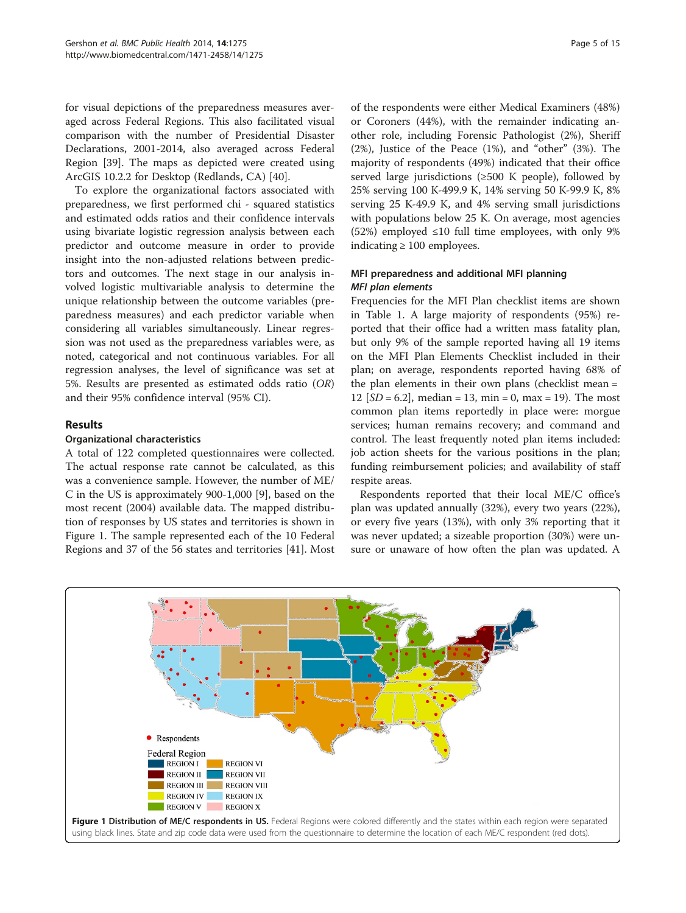for visual depictions of the preparedness measures averaged across Federal Regions. This also facilitated visual comparison with the number of Presidential Disaster Declarations, 2001-2014, also averaged across Federal Region [[39](#page-14-0)]. The maps as depicted were created using ArcGIS 10.2.2 for Desktop (Redlands, CA) [[40\]](#page-14-0).

To explore the organizational factors associated with preparedness, we first performed chi - squared statistics and estimated odds ratios and their confidence intervals using bivariate logistic regression analysis between each predictor and outcome measure in order to provide insight into the non-adjusted relations between predictors and outcomes. The next stage in our analysis involved logistic multivariable analysis to determine the unique relationship between the outcome variables (preparedness measures) and each predictor variable when considering all variables simultaneously. Linear regression was not used as the preparedness variables were, as noted, categorical and not continuous variables. For all regression analyses, the level of significance was set at 5%. Results are presented as estimated odds ratio (OR) and their 95% confidence interval (95% CI).

# Results

# Organizational characteristics

A total of 122 completed questionnaires were collected. The actual response rate cannot be calculated, as this was a convenience sample. However, the number of ME/ C in the US is approximately 900-1,000 [[9\]](#page-13-0), based on the most recent (2004) available data. The mapped distribution of responses by US states and territories is shown in Figure 1. The sample represented each of the 10 Federal Regions and 37 of the 56 states and territories [\[41](#page-14-0)]. Most

of the respondents were either Medical Examiners (48%) or Coroners (44%), with the remainder indicating another role, including Forensic Pathologist (2%), Sheriff (2%), Justice of the Peace (1%), and "other" (3%). The majority of respondents (49%) indicated that their office served large jurisdictions ( $\geq 500$  K people), followed by 25% serving 100 K-499.9 K, 14% serving 50 K-99.9 K, 8% serving 25 K-49.9 K, and 4% serving small jurisdictions with populations below 25 K. On average, most agencies (52%) employed  $\leq 10$  full time employees, with only 9% indicating  $\geq 100$  employees.

# MFI preparedness and additional MFI planning MFI plan elements

Frequencies for the MFI Plan checklist items are shown in Table [1](#page-5-0). A large majority of respondents (95%) reported that their office had a written mass fatality plan, but only 9% of the sample reported having all 19 items on the MFI Plan Elements Checklist included in their plan; on average, respondents reported having 68% of the plan elements in their own plans (checklist mean = 12  $[SD = 6.2]$ , median = 13, min = 0, max = 19). The most common plan items reportedly in place were: morgue services; human remains recovery; and command and control. The least frequently noted plan items included: job action sheets for the various positions in the plan; funding reimbursement policies; and availability of staff respite areas.

Respondents reported that their local ME/C office's plan was updated annually (32%), every two years (22%), or every five years (13%), with only 3% reporting that it was never updated; a sizeable proportion (30%) were unsure or unaware of how often the plan was updated. A

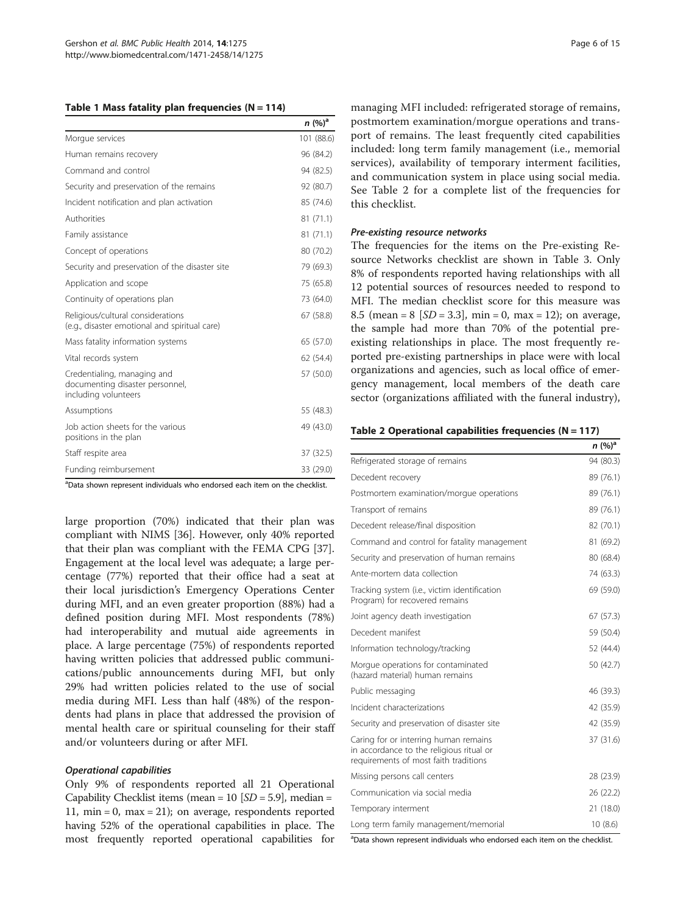#### <span id="page-5-0"></span>Table 1 Mass fatality plan frequencies ( $N = 114$ )

|                                                                                        | $n (%)^a$  |
|----------------------------------------------------------------------------------------|------------|
| Morgue services                                                                        | 101 (88.6) |
| Human remains recovery                                                                 | 96 (84.2)  |
| Command and control                                                                    | 94 (82.5)  |
| Security and preservation of the remains                                               | 92 (80.7)  |
| Incident notification and plan activation                                              | 85 (74.6)  |
| Authorities                                                                            | 81 (71.1)  |
| Family assistance                                                                      | 81(71.1)   |
| Concept of operations                                                                  | 80 (70.2)  |
| Security and preservation of the disaster site                                         | 79 (69.3)  |
| Application and scope                                                                  | 75 (65.8)  |
| Continuity of operations plan                                                          | 73 (64.0)  |
| Religious/cultural considerations<br>(e.g., disaster emotional and spiritual care)     | 67 (58.8)  |
| Mass fatality information systems                                                      | 65 (57.0)  |
| Vital records system                                                                   | 62 (54.4)  |
| Credentialing, managing and<br>documenting disaster personnel,<br>including volunteers | 57 (50.0)  |
| Assumptions                                                                            | 55 (48.3)  |
| Job action sheets for the various<br>positions in the plan                             | 49 (43.0)  |
| Staff respite area                                                                     | 37 (32.5)  |
| Funding reimbursement                                                                  | 33 (29.0)  |

<sup>a</sup>Data shown represent individuals who endorsed each item on the checklist.

large proportion (70%) indicated that their plan was compliant with NIMS [\[36\]](#page-14-0). However, only 40% reported that their plan was compliant with the FEMA CPG [\[37](#page-14-0)]. Engagement at the local level was adequate; a large percentage (77%) reported that their office had a seat at their local jurisdiction's Emergency Operations Center during MFI, and an even greater proportion (88%) had a defined position during MFI. Most respondents (78%) had interoperability and mutual aide agreements in place. A large percentage (75%) of respondents reported having written policies that addressed public communications/public announcements during MFI, but only 29% had written policies related to the use of social media during MFI. Less than half (48%) of the respondents had plans in place that addressed the provision of mental health care or spiritual counseling for their staff and/or volunteers during or after MFI.

#### Operational capabilities

Only 9% of respondents reported all 21 Operational Capability Checklist items (mean =  $10$  [SD = 5.9], median = 11, min = 0, max = 21); on average, respondents reported having 52% of the operational capabilities in place. The most frequently reported operational capabilities for

managing MFI included: refrigerated storage of remains, postmortem examination/morgue operations and transport of remains. The least frequently cited capabilities included: long term family management (i.e., memorial services), availability of temporary interment facilities, and communication system in place using social media. See Table 2 for a complete list of the frequencies for this checklist.

#### Pre-existing resource networks

The frequencies for the items on the Pre-existing Resource Networks checklist are shown in Table [3.](#page-6-0) Only 8% of respondents reported having relationships with all 12 potential sources of resources needed to respond to MFI. The median checklist score for this measure was 8.5 (mean = 8  $[SD = 3.3]$ , min = 0, max = 12); on average, the sample had more than 70% of the potential preexisting relationships in place. The most frequently reported pre-existing partnerships in place were with local organizations and agencies, such as local office of emergency management, local members of the death care sector (organizations affiliated with the funeral industry),

#### Table 2 Operational capabilities frequencies ( $N = 117$ )

|                                                                                                                            | $n (%)^a$ |
|----------------------------------------------------------------------------------------------------------------------------|-----------|
| Refrigerated storage of remains                                                                                            | 94 (80.3) |
| Decedent recovery                                                                                                          | 89 (76.1) |
| Postmortem examination/morque operations                                                                                   | 89 (76.1) |
| Transport of remains                                                                                                       | 89 (76.1) |
| Decedent release/final disposition                                                                                         | 82 (70.1) |
| Command and control for fatality management                                                                                | 81 (69.2) |
| Security and preservation of human remains                                                                                 | 80 (68.4) |
| Ante-mortem data collection                                                                                                | 74 (63.3) |
| Tracking system (i.e., victim identification<br>Program) for recovered remains                                             | 69 (59.0) |
| Joint agency death investigation                                                                                           | 67 (57.3) |
| Decedent manifest                                                                                                          | 59 (50.4) |
| Information technology/tracking                                                                                            | 52 (44.4) |
| Morque operations for contaminated<br>(hazard material) human remains                                                      | 50 (42.7) |
| Public messaging                                                                                                           | 46 (39.3) |
| Incident characterizations                                                                                                 | 42 (35.9) |
| Security and preservation of disaster site                                                                                 | 42 (35.9) |
| Caring for or interring human remains<br>in accordance to the religious ritual or<br>requirements of most faith traditions | 37 (31.6) |
| Missing persons call centers                                                                                               | 28 (23.9) |
| Communication via social media                                                                                             | 26 (22.2) |
| Temporary interment                                                                                                        | 21 (18.0) |
| Long term family management/memorial                                                                                       | 10(8.6)   |

<sup>a</sup>Data shown represent individuals who endorsed each item on the checklist.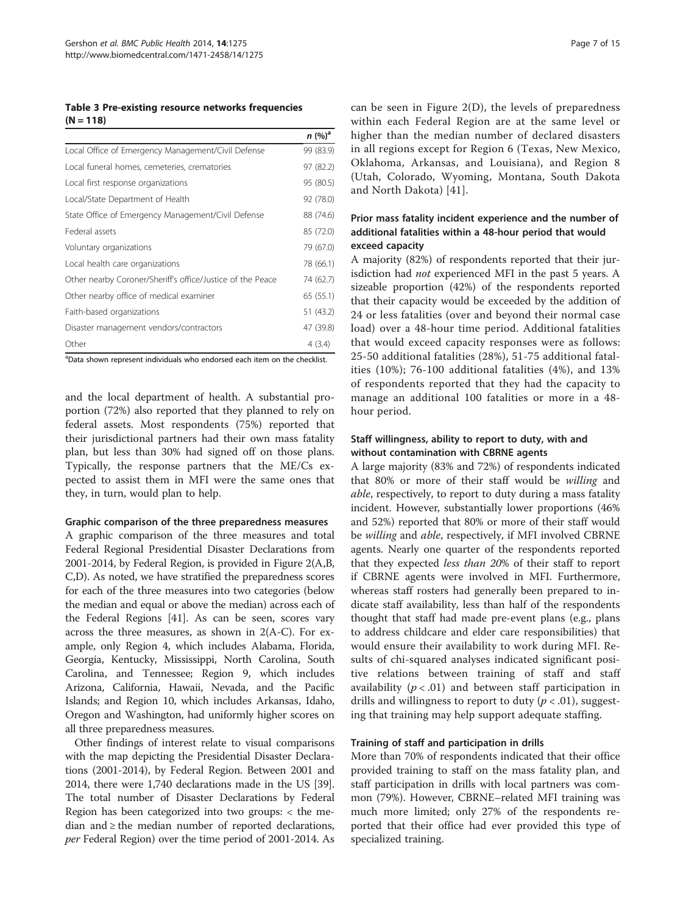<span id="page-6-0"></span>Table 3 Pre-existing resource networks frequencies  $(N = 118)$ 

|                                                            | n (%) <sup>a</sup> |
|------------------------------------------------------------|--------------------|
| Local Office of Emergency Management/Civil Defense         | 99 (83.9)          |
| Local funeral homes, cemeteries, crematories               | 97 (82.2)          |
| Local first response organizations                         | 95 (80.5)          |
| Local/State Department of Health                           | 92 (78.0)          |
| State Office of Emergency Management/Civil Defense         | 88 (74.6)          |
| Federal assets                                             | 85 (72.0)          |
| Voluntary organizations                                    | 79 (67.0)          |
| Local health care organizations                            | 78 (66.1)          |
| Other nearby Coroner/Sheriff's office/Justice of the Peace | 74 (62.7)          |
| Other nearby office of medical examiner                    | 65 (55.1)          |
| Faith-based organizations                                  | 51 (43.2)          |
| Disaster management vendors/contractors                    | 47 (39.8)          |
| Other                                                      | 4(3.4)             |

<sup>a</sup>Data shown represent individuals who endorsed each item on the checklist.

and the local department of health. A substantial proportion (72%) also reported that they planned to rely on federal assets. Most respondents (75%) reported that their jurisdictional partners had their own mass fatality plan, but less than 30% had signed off on those plans. Typically, the response partners that the ME/Cs expected to assist them in MFI were the same ones that they, in turn, would plan to help.

#### Graphic comparison of the three preparedness measures

A graphic comparison of the three measures and total Federal Regional Presidential Disaster Declarations from 2001-2014, by Federal Region, is provided in Figure [2](#page-7-0)(A,B, C,D). As noted, we have stratified the preparedness scores for each of the three measures into two categories (below the median and equal or above the median) across each of the Federal Regions [[41](#page-14-0)]. As can be seen, scores vary across the three measures, as shown in  $2(A-C)$ . For example, only Region 4, which includes Alabama, Florida, Georgia, Kentucky, Mississippi, North Carolina, South Carolina, and Tennessee; Region 9, which includes Arizona, California, Hawaii, Nevada, and the Pacific Islands; and Region 10, which includes Arkansas, Idaho, Oregon and Washington, had uniformly higher scores on all three preparedness measures.

Other findings of interest relate to visual comparisons with the map depicting the Presidential Disaster Declarations (2001-2014), by Federal Region. Between 2001 and 2014, there were 1,740 declarations made in the US [[39](#page-14-0)]. The total number of Disaster Declarations by Federal Region has been categorized into two groups: < the median and  $\geq$  the median number of reported declarations, per Federal Region) over the time period of 2001-2014. As can be seen in Figure [2](#page-7-0)(D), the levels of preparedness within each Federal Region are at the same level or higher than the median number of declared disasters in all regions except for Region 6 (Texas, New Mexico, Oklahoma, Arkansas, and Louisiana), and Region 8 (Utah, Colorado, Wyoming, Montana, South Dakota and North Dakota) [[41](#page-14-0)].

# Prior mass fatality incident experience and the number of additional fatalities within a 48-hour period that would exceed capacity

A majority (82%) of respondents reported that their jurisdiction had not experienced MFI in the past 5 years. A sizeable proportion (42%) of the respondents reported that their capacity would be exceeded by the addition of 24 or less fatalities (over and beyond their normal case load) over a 48-hour time period. Additional fatalities that would exceed capacity responses were as follows: 25-50 additional fatalities (28%), 51-75 additional fatalities (10%); 76-100 additional fatalities (4%), and 13% of respondents reported that they had the capacity to manage an additional 100 fatalities or more in a 48 hour period.

# Staff willingness, ability to report to duty, with and without contamination with CBRNE agents

A large majority (83% and 72%) of respondents indicated that 80% or more of their staff would be willing and able, respectively, to report to duty during a mass fatality incident. However, substantially lower proportions (46% and 52%) reported that 80% or more of their staff would be willing and able, respectively, if MFI involved CBRNE agents. Nearly one quarter of the respondents reported that they expected less than 20% of their staff to report if CBRNE agents were involved in MFI. Furthermore, whereas staff rosters had generally been prepared to indicate staff availability, less than half of the respondents thought that staff had made pre-event plans (e.g., plans to address childcare and elder care responsibilities) that would ensure their availability to work during MFI. Results of chi-squared analyses indicated significant positive relations between training of staff and staff availability ( $p < .01$ ) and between staff participation in drills and willingness to report to duty ( $p < .01$ ), suggesting that training may help support adequate staffing.

#### Training of staff and participation in drills

More than 70% of respondents indicated that their office provided training to staff on the mass fatality plan, and staff participation in drills with local partners was common (79%). However, CBRNE–related MFI training was much more limited; only 27% of the respondents reported that their office had ever provided this type of specialized training.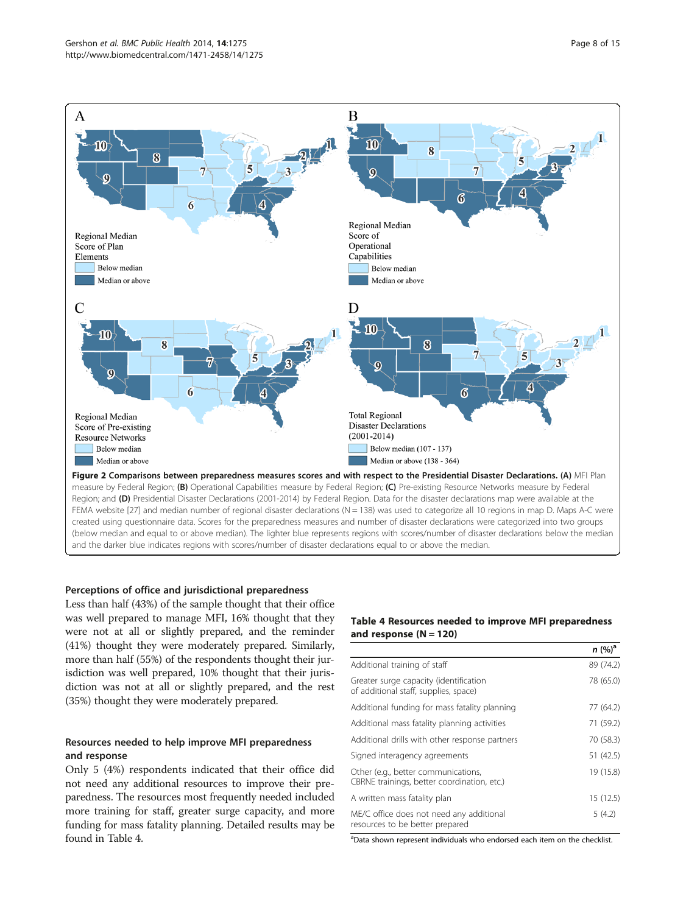

<span id="page-7-0"></span>

# Perceptions of office and jurisdictional preparedness

Less than half (43%) of the sample thought that their office was well prepared to manage MFI, 16% thought that they were not at all or slightly prepared, and the reminder (41%) thought they were moderately prepared. Similarly, more than half (55%) of the respondents thought their jurisdiction was well prepared, 10% thought that their jurisdiction was not at all or slightly prepared, and the rest (35%) thought they were moderately prepared.

# Resources needed to help improve MFI preparedness and response

Only 5 (4%) respondents indicated that their office did not need any additional resources to improve their preparedness. The resources most frequently needed included more training for staff, greater surge capacity, and more funding for mass fatality planning. Detailed results may be found in Table 4.

#### Table 4 Resources needed to improve MFI preparedness and response  $(N = 120)$

|                                                                                    | $n (%)^a$ |
|------------------------------------------------------------------------------------|-----------|
| Additional training of staff                                                       | 89 (74.2) |
| Greater surge capacity (identification<br>of additional staff, supplies, space)    | 78 (65.0) |
| Additional funding for mass fatality planning                                      | 77 (64.2) |
| Additional mass fatality planning activities                                       | 71 (59.2) |
| Additional drills with other response partners                                     | 70 (58.3) |
| Signed interagency agreements                                                      | 51 (42.5) |
| Other (e.g., better communications,<br>CBRNE trainings, better coordination, etc.) | 19 (15.8) |
| A written mass fatality plan                                                       | 15 (12.5) |
| ME/C office does not need any additional<br>resources to be better prepared        | 5(4.2)    |

<sup>a</sup>Data shown represent individuals who endorsed each item on the checklist.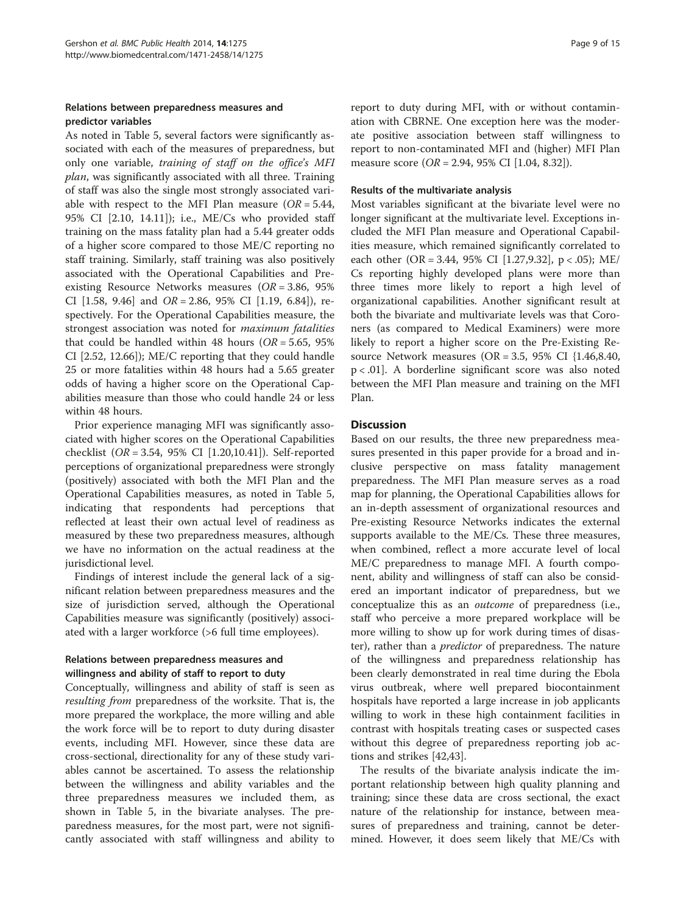# Relations between preparedness measures and predictor variables

As noted in Table [5,](#page-9-0) several factors were significantly associated with each of the measures of preparedness, but only one variable, training of staff on the office's MFI plan, was significantly associated with all three. Training of staff was also the single most strongly associated variable with respect to the MFI Plan measure  $(OR = 5.44,$ 95% CI [2.10, 14.11]); i.e., ME/Cs who provided staff training on the mass fatality plan had a 5.44 greater odds of a higher score compared to those ME/C reporting no staff training. Similarly, staff training was also positively associated with the Operational Capabilities and Preexisting Resource Networks measures (OR = 3.86, 95% CI [1.58, 9.46] and  $OR = 2.86$ , 95% CI [1.19, 6.84]), respectively. For the Operational Capabilities measure, the strongest association was noted for maximum fatalities that could be handled within 48 hours  $(OR = 5.65, 95\%)$ CI [2.52, 12.66]); ME/C reporting that they could handle 25 or more fatalities within 48 hours had a 5.65 greater odds of having a higher score on the Operational Capabilities measure than those who could handle 24 or less within 48 hours.

Prior experience managing MFI was significantly associated with higher scores on the Operational Capabilities checklist ( $OR = 3.54$ , 95% CI [1.20,10.41]). Self-reported perceptions of organizational preparedness were strongly (positively) associated with both the MFI Plan and the Operational Capabilities measures, as noted in Table [5](#page-9-0), indicating that respondents had perceptions that reflected at least their own actual level of readiness as measured by these two preparedness measures, although we have no information on the actual readiness at the jurisdictional level.

Findings of interest include the general lack of a significant relation between preparedness measures and the size of jurisdiction served, although the Operational Capabilities measure was significantly (positively) associated with a larger workforce (>6 full time employees).

# Relations between preparedness measures and willingness and ability of staff to report to duty

Conceptually, willingness and ability of staff is seen as resulting from preparedness of the worksite. That is, the more prepared the workplace, the more willing and able the work force will be to report to duty during disaster events, including MFI. However, since these data are cross-sectional, directionality for any of these study variables cannot be ascertained. To assess the relationship between the willingness and ability variables and the three preparedness measures we included them, as shown in Table [5,](#page-9-0) in the bivariate analyses. The preparedness measures, for the most part, were not significantly associated with staff willingness and ability to

report to duty during MFI, with or without contamination with CBRNE. One exception here was the moderate positive association between staff willingness to report to non-contaminated MFI and (higher) MFI Plan measure score (OR = 2.94, 95% CI [1.04, 8.32]).

# Results of the multivariate analysis

Most variables significant at the bivariate level were no longer significant at the multivariate level. Exceptions included the MFI Plan measure and Operational Capabilities measure, which remained significantly correlated to each other (OR = 3.44, 95% CI [1.27,9.32], p < .05); ME/ Cs reporting highly developed plans were more than three times more likely to report a high level of organizational capabilities. Another significant result at both the bivariate and multivariate levels was that Coroners (as compared to Medical Examiners) were more likely to report a higher score on the Pre-Existing Resource Network measures (OR = 3.5, 95% CI {1.46,8.40, p < .01]. A borderline significant score was also noted between the MFI Plan measure and training on the MFI Plan.

# **Discussion**

Based on our results, the three new preparedness measures presented in this paper provide for a broad and inclusive perspective on mass fatality management preparedness. The MFI Plan measure serves as a road map for planning, the Operational Capabilities allows for an in-depth assessment of organizational resources and Pre-existing Resource Networks indicates the external supports available to the ME/Cs. These three measures, when combined, reflect a more accurate level of local ME/C preparedness to manage MFI. A fourth component, ability and willingness of staff can also be considered an important indicator of preparedness, but we conceptualize this as an outcome of preparedness (i.e., staff who perceive a more prepared workplace will be more willing to show up for work during times of disaster), rather than a *predictor* of preparedness. The nature of the willingness and preparedness relationship has been clearly demonstrated in real time during the Ebola virus outbreak, where well prepared biocontainment hospitals have reported a large increase in job applicants willing to work in these high containment facilities in contrast with hospitals treating cases or suspected cases without this degree of preparedness reporting job actions and strikes [\[42,43\]](#page-14-0).

The results of the bivariate analysis indicate the important relationship between high quality planning and training; since these data are cross sectional, the exact nature of the relationship for instance, between measures of preparedness and training, cannot be determined. However, it does seem likely that ME/Cs with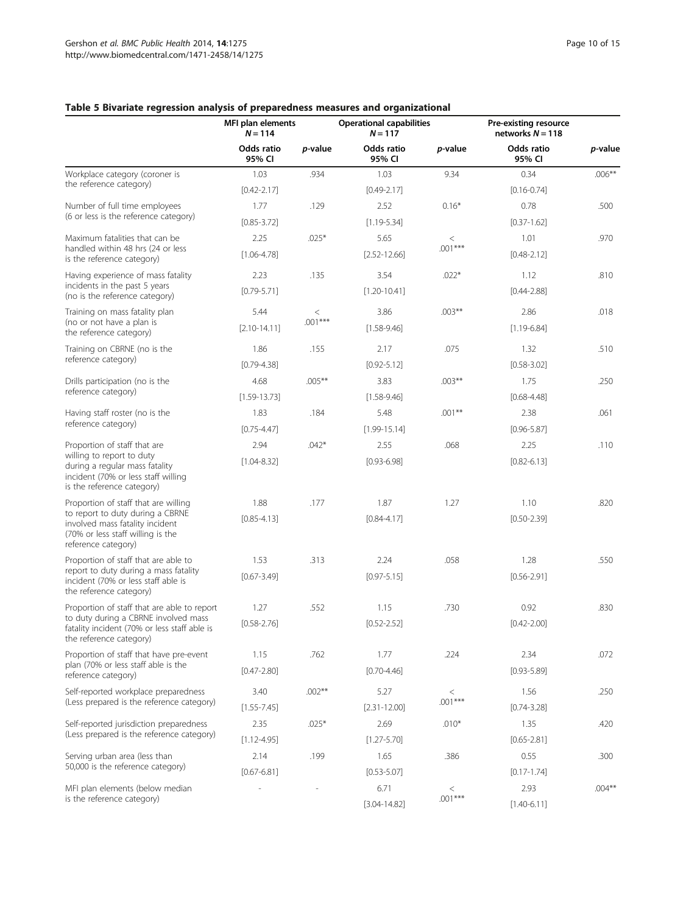|                                                                                                                                                                  | MFI plan elements<br>$N = 114$ |                 | <b>Operational capabilities</b><br>$N = 117$ |           | Pre-existing resource<br>networks $N = 118$ |           |
|------------------------------------------------------------------------------------------------------------------------------------------------------------------|--------------------------------|-----------------|----------------------------------------------|-----------|---------------------------------------------|-----------|
|                                                                                                                                                                  | Odds ratio<br>95% CI           | <i>p</i> -value | Odds ratio<br>95% CI                         | p-value   | Odds ratio<br>95% CI                        | p-value   |
| Workplace category (coroner is<br>the reference category)                                                                                                        | 1.03                           | .934            | 1.03                                         | 9.34      | 0.34                                        | $.006***$ |
|                                                                                                                                                                  | $[0.42 - 2.17]$                |                 | $[0.49 - 2.17]$                              |           | $[0.16 - 0.74]$                             |           |
| Number of full time employees<br>(6 or less is the reference category)                                                                                           | 1.77                           | .129            | 2.52                                         | $0.16*$   | 0.78                                        | .500      |
|                                                                                                                                                                  | $[0.85 - 3.72]$                |                 | $[1.19 - 5.34]$                              |           | $[0.37 - 1.62]$                             |           |
| Maximum fatalities that can be<br>handled within 48 hrs (24 or less<br>is the reference category)                                                                | 2.25                           | $.025*$         | 5.65                                         | $\,<$     | 1.01                                        | .970      |
|                                                                                                                                                                  | $[1.06 - 4.78]$                |                 | $[2.52 - 12.66]$                             | $.001***$ | $[0.48 - 2.12]$                             |           |
| Having experience of mass fatality                                                                                                                               | 2.23                           | .135            | 3.54                                         | $.022*$   | 1.12                                        | .810      |
| incidents in the past 5 years<br>(no is the reference category)                                                                                                  | $[0.79 - 5.71]$                |                 | $[1.20 - 10.41]$                             |           | $[0.44 - 2.88]$                             |           |
| Training on mass fatality plan                                                                                                                                   | 5.44                           | $\,<\,$         | 3.86                                         | $.003**$  | 2.86                                        | .018      |
| (no or not have a plan is<br>the reference category)                                                                                                             | $[2.10 - 14.11]$               | $.001***$       | $[1.58 - 9.46]$                              |           | $[1.19 - 6.84]$                             |           |
| Training on CBRNE (no is the                                                                                                                                     | 1.86                           | .155            | 2.17                                         | .075      | 1.32                                        | .510      |
| reference category)                                                                                                                                              | $[0.79 - 4.38]$                |                 | $[0.92 - 5.12]$                              |           | $[0.58 - 3.02]$                             |           |
| Drills participation (no is the                                                                                                                                  | 4.68                           | $.005***$       | 3.83                                         | $.003**$  | 1.75                                        | .250      |
| reference category)                                                                                                                                              | $[1.59 - 13.73]$               |                 | $[1.58 - 9.46]$                              |           | $[0.68 - 4.48]$                             |           |
| Having staff roster (no is the                                                                                                                                   | 1.83                           | .184            | 5.48                                         | $.001***$ | 2.38                                        | .061      |
| reference category)                                                                                                                                              | $[0.75 - 4.47]$                |                 | $[1.99 - 15.14]$                             |           | $[0.96 - 5.87]$                             |           |
| Proportion of staff that are<br>willing to report to duty<br>during a regular mass fatality<br>incident (70% or less staff willing<br>is the reference category) | 2.94                           | $.042*$         | 2.55                                         | .068      | 2.25                                        | .110      |
|                                                                                                                                                                  | $[1.04 - 8.32]$                |                 | $[0.93 - 6.98]$                              |           | $[0.82 - 6.13]$                             |           |
| Proportion of staff that are willing                                                                                                                             | 1.88                           | .177            | 1.87                                         | 1.27      | 1.10                                        | .820      |
| to report to duty during a CBRNE<br>involved mass fatality incident<br>(70% or less staff willing is the<br>reference category)                                  | $[0.85 - 4.13]$                |                 | $[0.84 - 4.17]$                              |           | $[0.50 - 2.39]$                             |           |
| Proportion of staff that are able to                                                                                                                             | 1.53                           | .313            | 2.24                                         | .058      | 1.28                                        | .550      |
| report to duty during a mass fatality<br>incident (70% or less staff able is<br>the reference category)                                                          | $[0.67 - 3.49]$                |                 | $[0.97 - 5.15]$                              |           | $[0.56 - 2.91]$                             |           |
| Proportion of staff that are able to report                                                                                                                      | 1.27                           | .552            | 1.15                                         | .730      | 0.92                                        | .830      |
| to duty during a CBRNE involved mass<br>fatality incident (70% or less staff able is<br>the reference category)                                                  | $[0.58 - 2.76]$                |                 | $[0.52 - 2.52]$                              |           | $[0.42 - 2.00]$                             |           |
| Proportion of staff that have pre-event<br>plan (70% or less staff able is the<br>reference category)                                                            | 1.15                           | .762            | 1.77                                         | .224      | 2.34                                        | .072      |
|                                                                                                                                                                  | $[0.47 - 2.80]$                |                 | $[0.70 - 4.46]$                              |           | $[0.93 - 5.89]$                             |           |
| Self-reported workplace preparedness                                                                                                                             | 3.40                           | $.002***$       | 5.27                                         | $\,<$     | 1.56                                        | .250      |
| (Less prepared is the reference category)                                                                                                                        | $[1.55 - 7.45]$                |                 | $[2.31 - 12.00]$                             | $.001***$ | $[0.74 - 3.28]$                             |           |
| Self-reported jurisdiction preparedness                                                                                                                          | 2.35                           | $.025*$         | 2.69                                         | $.010*$   | 1.35                                        | .420      |
| (Less prepared is the reference category)                                                                                                                        | $[1.12 - 4.95]$                |                 | $[1.27 - 5.70]$                              |           | $[0.65 - 2.81]$                             |           |
| Serving urban area (less than                                                                                                                                    | 2.14                           | .199            | 1.65                                         | .386      | 0.55                                        | .300      |
| 50,000 is the reference category)                                                                                                                                | $[0.67 - 6.81]$                |                 | $[0.53 - 5.07]$                              |           | $[0.17 - 1.74]$                             |           |
| MFI plan elements (below median                                                                                                                                  |                                |                 | 6.71                                         | $\,<$     | 2.93                                        | $.004***$ |
| is the reference category)                                                                                                                                       |                                |                 | $[3.04 - 14.82]$                             | .001***   | $[1.40 - 6.11]$                             |           |

# <span id="page-9-0"></span>Table 5 Bivariate regression analysis of preparedness measures and organizational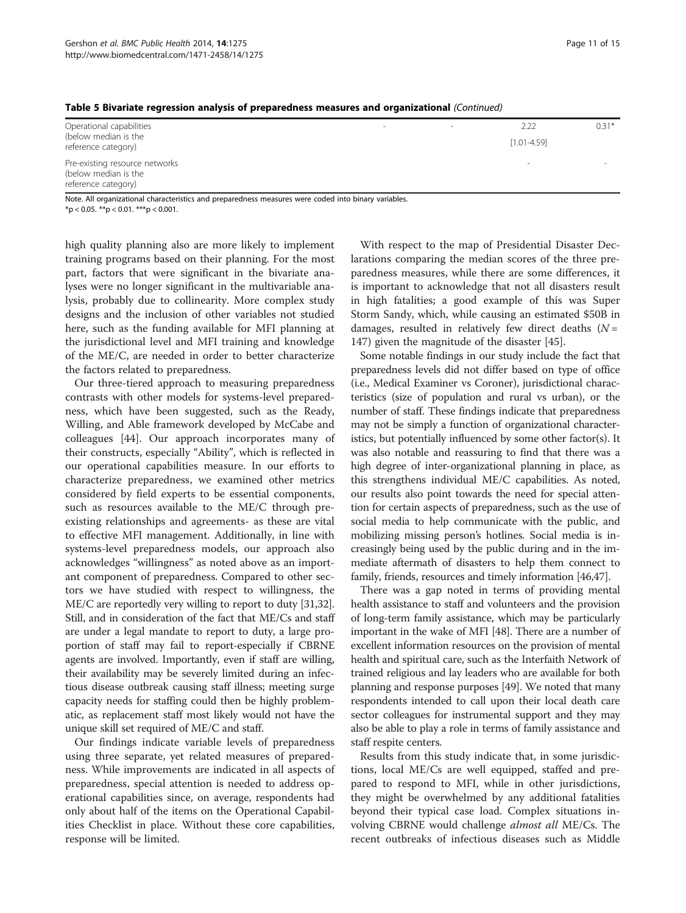| Operational capabilities                                                      |  | 2.22            | $0.31*$ |
|-------------------------------------------------------------------------------|--|-----------------|---------|
| (below median is the<br>reference category)                                   |  | $[1.01 - 4.59]$ |         |
| Pre-existing resource networks<br>(below median is the<br>reference category) |  |                 |         |

Table 5 Bivariate regression analysis of preparedness measures and organizational (Continued)

Note. All organizational characteristics and preparedness measures were coded into binary variables.

 $*$ p < 0.05.  $*$  $*$ p < 0.01.  $**$  $p$  < 0.001.

high quality planning also are more likely to implement training programs based on their planning. For the most part, factors that were significant in the bivariate analyses were no longer significant in the multivariable analysis, probably due to collinearity. More complex study designs and the inclusion of other variables not studied here, such as the funding available for MFI planning at the jurisdictional level and MFI training and knowledge of the ME/C, are needed in order to better characterize the factors related to preparedness.

Our three-tiered approach to measuring preparedness contrasts with other models for systems-level preparedness, which have been suggested, such as the Ready, Willing, and Able framework developed by McCabe and colleagues [[44\]](#page-14-0). Our approach incorporates many of their constructs, especially "Ability", which is reflected in our operational capabilities measure. In our efforts to characterize preparedness, we examined other metrics considered by field experts to be essential components, such as resources available to the ME/C through preexisting relationships and agreements- as these are vital to effective MFI management. Additionally, in line with systems-level preparedness models, our approach also acknowledges "willingness" as noted above as an important component of preparedness. Compared to other sectors we have studied with respect to willingness, the ME/C are reportedly very willing to report to duty [\[31,32](#page-13-0)]. Still, and in consideration of the fact that ME/Cs and staff are under a legal mandate to report to duty, a large proportion of staff may fail to report-especially if CBRNE agents are involved. Importantly, even if staff are willing, their availability may be severely limited during an infectious disease outbreak causing staff illness; meeting surge capacity needs for staffing could then be highly problematic, as replacement staff most likely would not have the unique skill set required of ME/C and staff.

Our findings indicate variable levels of preparedness using three separate, yet related measures of preparedness. While improvements are indicated in all aspects of preparedness, special attention is needed to address operational capabilities since, on average, respondents had only about half of the items on the Operational Capabilities Checklist in place. Without these core capabilities, response will be limited.

With respect to the map of Presidential Disaster Declarations comparing the median scores of the three preparedness measures, while there are some differences, it is important to acknowledge that not all disasters result in high fatalities; a good example of this was Super Storm Sandy, which, while causing an estimated \$50B in damages, resulted in relatively few direct deaths  $(N =$ 147) given the magnitude of the disaster [\[45\]](#page-14-0).

Some notable findings in our study include the fact that preparedness levels did not differ based on type of office (i.e., Medical Examiner vs Coroner), jurisdictional characteristics (size of population and rural vs urban), or the number of staff. These findings indicate that preparedness may not be simply a function of organizational characteristics, but potentially influenced by some other factor(s). It was also notable and reassuring to find that there was a high degree of inter-organizational planning in place, as this strengthens individual ME/C capabilities. As noted, our results also point towards the need for special attention for certain aspects of preparedness, such as the use of social media to help communicate with the public, and mobilizing missing person's hotlines. Social media is increasingly being used by the public during and in the immediate aftermath of disasters to help them connect to family, friends, resources and timely information [\[46,47](#page-14-0)].

There was a gap noted in terms of providing mental health assistance to staff and volunteers and the provision of long-term family assistance, which may be particularly important in the wake of MFI [\[48\]](#page-14-0). There are a number of excellent information resources on the provision of mental health and spiritual care, such as the Interfaith Network of trained religious and lay leaders who are available for both planning and response purposes [[49](#page-14-0)]. We noted that many respondents intended to call upon their local death care sector colleagues for instrumental support and they may also be able to play a role in terms of family assistance and staff respite centers.

Results from this study indicate that, in some jurisdictions, local ME/Cs are well equipped, staffed and prepared to respond to MFI, while in other jurisdictions, they might be overwhelmed by any additional fatalities beyond their typical case load. Complex situations involving CBRNE would challenge almost all ME/Cs. The recent outbreaks of infectious diseases such as Middle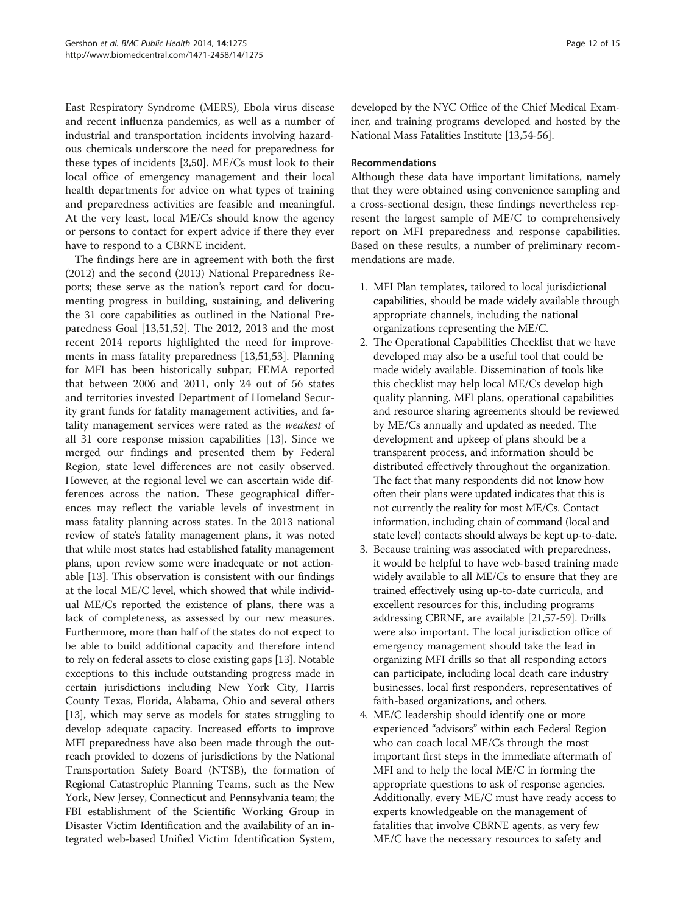East Respiratory Syndrome (MERS), Ebola virus disease and recent influenza pandemics, as well as a number of industrial and transportation incidents involving hazardous chemicals underscore the need for preparedness for these types of incidents [\[3,](#page-13-0)[50\]](#page-14-0). ME/Cs must look to their local office of emergency management and their local health departments for advice on what types of training and preparedness activities are feasible and meaningful. At the very least, local ME/Cs should know the agency or persons to contact for expert advice if there they ever have to respond to a CBRNE incident.

The findings here are in agreement with both the first (2012) and the second (2013) National Preparedness Reports; these serve as the nation's report card for documenting progress in building, sustaining, and delivering the 31 core capabilities as outlined in the National Preparedness Goal [\[13,](#page-13-0)[51,52\]](#page-14-0). The 2012, 2013 and the most recent 2014 reports highlighted the need for improvements in mass fatality preparedness [[13,](#page-13-0)[51,53\]](#page-14-0). Planning for MFI has been historically subpar; FEMA reported that between 2006 and 2011, only 24 out of 56 states and territories invested Department of Homeland Security grant funds for fatality management activities, and fatality management services were rated as the weakest of all 31 core response mission capabilities [\[13\]](#page-13-0). Since we merged our findings and presented them by Federal Region, state level differences are not easily observed. However, at the regional level we can ascertain wide differences across the nation. These geographical differences may reflect the variable levels of investment in mass fatality planning across states. In the 2013 national review of state's fatality management plans, it was noted that while most states had established fatality management plans, upon review some were inadequate or not actionable [\[13\]](#page-13-0). This observation is consistent with our findings at the local ME/C level, which showed that while individual ME/Cs reported the existence of plans, there was a lack of completeness, as assessed by our new measures. Furthermore, more than half of the states do not expect to be able to build additional capacity and therefore intend to rely on federal assets to close existing gaps [[13](#page-13-0)]. Notable exceptions to this include outstanding progress made in certain jurisdictions including New York City, Harris County Texas, Florida, Alabama, Ohio and several others [[13](#page-13-0)], which may serve as models for states struggling to develop adequate capacity. Increased efforts to improve MFI preparedness have also been made through the outreach provided to dozens of jurisdictions by the National Transportation Safety Board (NTSB), the formation of Regional Catastrophic Planning Teams, such as the New York, New Jersey, Connecticut and Pennsylvania team; the FBI establishment of the Scientific Working Group in Disaster Victim Identification and the availability of an integrated web-based Unified Victim Identification System,

developed by the NYC Office of the Chief Medical Examiner, and training programs developed and hosted by the National Mass Fatalities Institute [[13](#page-13-0)[,54-56](#page-14-0)].

#### Recommendations

Although these data have important limitations, namely that they were obtained using convenience sampling and a cross-sectional design, these findings nevertheless represent the largest sample of ME/C to comprehensively report on MFI preparedness and response capabilities. Based on these results, a number of preliminary recommendations are made.

- 1. MFI Plan templates, tailored to local jurisdictional capabilities, should be made widely available through appropriate channels, including the national organizations representing the ME/C.
- 2. The Operational Capabilities Checklist that we have developed may also be a useful tool that could be made widely available. Dissemination of tools like this checklist may help local ME/Cs develop high quality planning. MFI plans, operational capabilities and resource sharing agreements should be reviewed by ME/Cs annually and updated as needed. The development and upkeep of plans should be a transparent process, and information should be distributed effectively throughout the organization. The fact that many respondents did not know how often their plans were updated indicates that this is not currently the reality for most ME/Cs. Contact information, including chain of command (local and state level) contacts should always be kept up-to-date.
- 3. Because training was associated with preparedness, it would be helpful to have web-based training made widely available to all ME/Cs to ensure that they are trained effectively using up-to-date curricula, and excellent resources for this, including programs addressing CBRNE, are available [\[21](#page-13-0)[,57-59](#page-14-0)]. Drills were also important. The local jurisdiction office of emergency management should take the lead in organizing MFI drills so that all responding actors can participate, including local death care industry businesses, local first responders, representatives of faith-based organizations, and others.
- 4. ME/C leadership should identify one or more experienced "advisors" within each Federal Region who can coach local ME/Cs through the most important first steps in the immediate aftermath of MFI and to help the local ME/C in forming the appropriate questions to ask of response agencies. Additionally, every ME/C must have ready access to experts knowledgeable on the management of fatalities that involve CBRNE agents, as very few ME/C have the necessary resources to safety and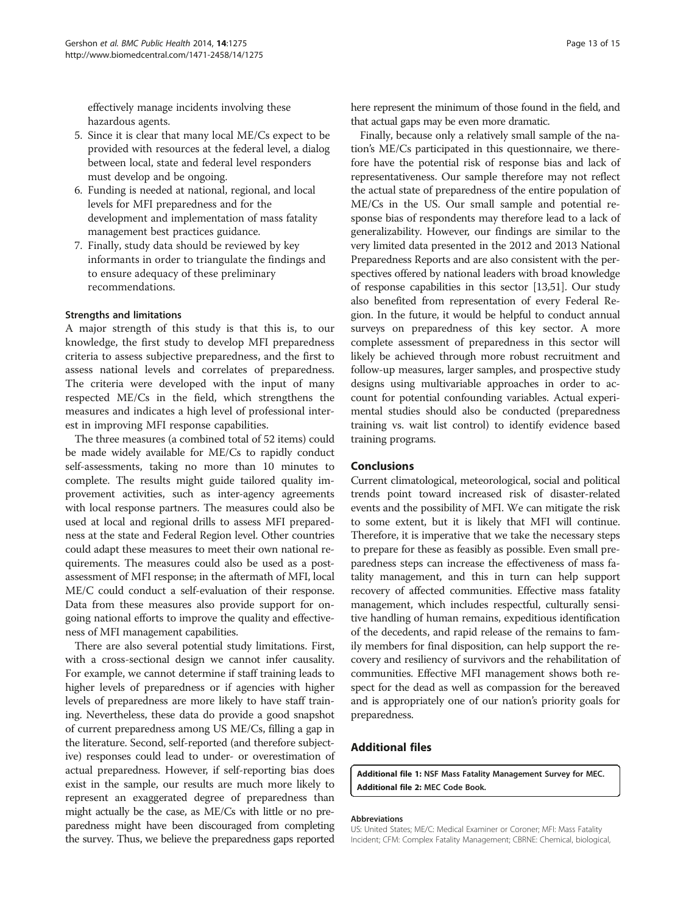<span id="page-12-0"></span>effectively manage incidents involving these hazardous agents.

- 5. Since it is clear that many local ME/Cs expect to be provided with resources at the federal level, a dialog between local, state and federal level responders must develop and be ongoing.
- 6. Funding is needed at national, regional, and local levels for MFI preparedness and for the development and implementation of mass fatality management best practices guidance.
- 7. Finally, study data should be reviewed by key informants in order to triangulate the findings and to ensure adequacy of these preliminary recommendations.

#### Strengths and limitations

A major strength of this study is that this is, to our knowledge, the first study to develop MFI preparedness criteria to assess subjective preparedness, and the first to assess national levels and correlates of preparedness. The criteria were developed with the input of many respected ME/Cs in the field, which strengthens the measures and indicates a high level of professional interest in improving MFI response capabilities.

The three measures (a combined total of 52 items) could be made widely available for ME/Cs to rapidly conduct self-assessments, taking no more than 10 minutes to complete. The results might guide tailored quality improvement activities, such as inter-agency agreements with local response partners. The measures could also be used at local and regional drills to assess MFI preparedness at the state and Federal Region level. Other countries could adapt these measures to meet their own national requirements. The measures could also be used as a postassessment of MFI response; in the aftermath of MFI, local ME/C could conduct a self-evaluation of their response. Data from these measures also provide support for ongoing national efforts to improve the quality and effectiveness of MFI management capabilities.

There are also several potential study limitations. First, with a cross-sectional design we cannot infer causality. For example, we cannot determine if staff training leads to higher levels of preparedness or if agencies with higher levels of preparedness are more likely to have staff training. Nevertheless, these data do provide a good snapshot of current preparedness among US ME/Cs, filling a gap in the literature. Second, self-reported (and therefore subjective) responses could lead to under- or overestimation of actual preparedness. However, if self-reporting bias does exist in the sample, our results are much more likely to represent an exaggerated degree of preparedness than might actually be the case, as ME/Cs with little or no preparedness might have been discouraged from completing the survey. Thus, we believe the preparedness gaps reported here represent the minimum of those found in the field, and that actual gaps may be even more dramatic.

Finally, because only a relatively small sample of the nation's ME/Cs participated in this questionnaire, we therefore have the potential risk of response bias and lack of representativeness. Our sample therefore may not reflect the actual state of preparedness of the entire population of ME/Cs in the US. Our small sample and potential response bias of respondents may therefore lead to a lack of generalizability. However, our findings are similar to the very limited data presented in the 2012 and 2013 National Preparedness Reports and are also consistent with the perspectives offered by national leaders with broad knowledge of response capabilities in this sector [\[13,](#page-13-0)[51](#page-14-0)]. Our study also benefited from representation of every Federal Region. In the future, it would be helpful to conduct annual surveys on preparedness of this key sector. A more complete assessment of preparedness in this sector will likely be achieved through more robust recruitment and follow-up measures, larger samples, and prospective study designs using multivariable approaches in order to account for potential confounding variables. Actual experimental studies should also be conducted (preparedness training vs. wait list control) to identify evidence based training programs.

#### Conclusions

Current climatological, meteorological, social and political trends point toward increased risk of disaster-related events and the possibility of MFI. We can mitigate the risk to some extent, but it is likely that MFI will continue. Therefore, it is imperative that we take the necessary steps to prepare for these as feasibly as possible. Even small preparedness steps can increase the effectiveness of mass fatality management, and this in turn can help support recovery of affected communities. Effective mass fatality management, which includes respectful, culturally sensitive handling of human remains, expeditious identification of the decedents, and rapid release of the remains to family members for final disposition, can help support the recovery and resiliency of survivors and the rehabilitation of communities. Effective MFI management shows both respect for the dead as well as compassion for the bereaved and is appropriately one of our nation's priority goals for preparedness.

#### Additional files

[Additional file 1:](http://www.biomedcentral.com/content/supplementary/1471-2458-14-1275-S1.pdf) NSF Mass Fatality Management Survey for MEC. [Additional file 2:](http://www.biomedcentral.com/content/supplementary/1471-2458-14-1275-S2.docx) MEC Code Book.

#### Abbreviations

US: United States; ME/C: Medical Examiner or Coroner; MFI: Mass Fatality Incident; CFM: Complex Fatality Management; CBRNE: Chemical, biological,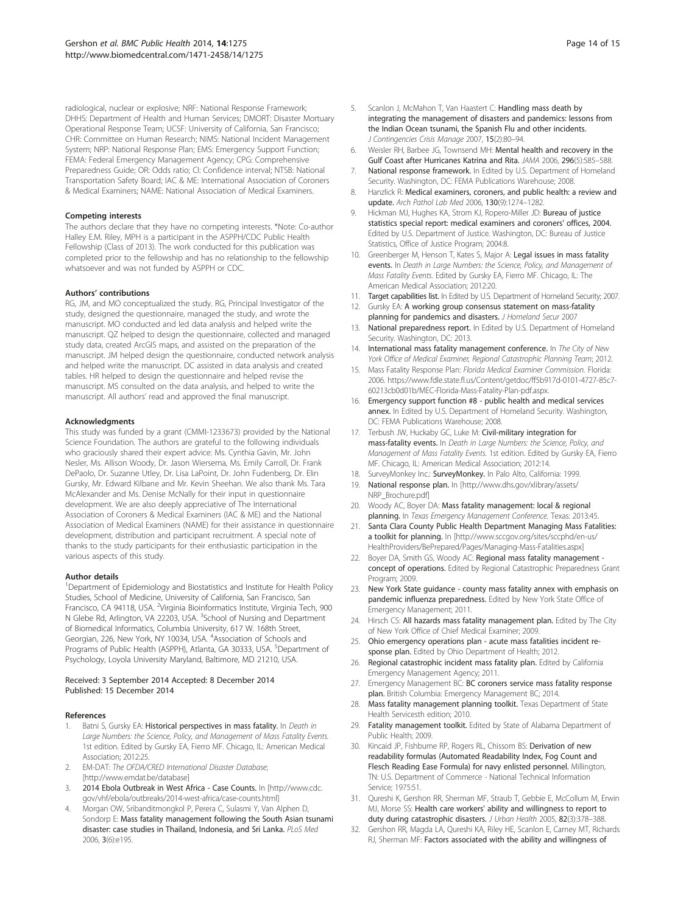<span id="page-13-0"></span>radiological, nuclear or explosive; NRF: National Response Framework; DHHS: Department of Health and Human Services; DMORT: Disaster Mortuary Operational Response Team; UCSF: University of California, San Francisco; CHR: Committee on Human Research; NIMS: National Incident Management System; NRP: National Response Plan; EMS: Emergency Support Function; FEMA: Federal Emergency Management Agency; CPG: Comprehensive Preparedness Guide; OR: Odds ratio; CI: Confidence interval; NTSB: National Transportation Safety Board; IAC & ME: International Association of Coroners & Medical Examiners; NAME: National Association of Medical Examiners.

#### Competing interests

The authors declare that they have no competing interests. \*Note: Co-author Halley E.M. Riley, MPH is a participant in the ASPPH/CDC Public Health Fellowship (Class of 2013). The work conducted for this publication was completed prior to the fellowship and has no relationship to the fellowship whatsoever and was not funded by ASPPH or CDC.

#### Authors' contributions

RG, JM, and MO conceptualized the study. RG, Principal Investigator of the study, designed the questionnaire, managed the study, and wrote the manuscript. MO conducted and led data analysis and helped write the manuscript. QZ helped to design the questionnaire, collected and managed study data, created ArcGIS maps, and assisted on the preparation of the manuscript. JM helped design the questionnaire, conducted network analysis and helped write the manuscript. DC assisted in data analysis and created tables. HR helped to design the questionnaire and helped revise the manuscript. MS consulted on the data analysis, and helped to write the manuscript. All authors' read and approved the final manuscript.

#### Acknowledgments

This study was funded by a grant (CMMI-1233673) provided by the National Science Foundation. The authors are grateful to the following individuals who graciously shared their expert advice: Ms. Cynthia Gavin, Mr. John Nesler, Ms. Allison Woody, Dr. Jason Wiersema, Ms. Emily Carroll, Dr. Frank DePaolo, Dr. Suzanne Utley, Dr. Lisa LaPoint, Dr. John Fudenberg, Dr. Elin Gursky, Mr. Edward Kilbane and Mr. Kevin Sheehan. We also thank Ms. Tara McAlexander and Ms. Denise McNally for their input in questionnaire development. We are also deeply appreciative of The International Association of Coroners & Medical Examiners (IAC & ME) and the National Association of Medical Examiners (NAME) for their assistance in questionnaire development, distribution and participant recruitment. A special note of thanks to the study participants for their enthusiastic participation in the various aspects of this study.

#### Author details

<sup>1</sup>Department of Epidemiology and Biostatistics and Institute for Health Policy Studies, School of Medicine, University of California, San Francisco, San Francisco, CA 94118, USA. <sup>2</sup>Virginia Bioinformatics Institute, Virginia Tech, 900 N Glebe Rd, Arlington, VA 22203, USA. <sup>3</sup>School of Nursing and Department of Biomedical Informatics, Columbia University, 617 W. 168th Street, Georgian, 226, New York, NY 10034, USA. <sup>4</sup>Association of Schools and Programs of Public Health (ASPPH), Atlanta, GA 30333, USA. <sup>5</sup>Department of Psychology, Loyola University Maryland, Baltimore, MD 21210, USA.

#### Received: 3 September 2014 Accepted: 8 December 2014 Published: 15 December 2014

#### References

- Batni S, Gursky EA: Historical perspectives in mass fatality. In Death in Large Numbers: the Science, Policy, and Management of Mass Fatality Events. 1st edition. Edited by Gursky EA, Fierro MF. Chicago, IL: American Medical Association; 2012:25.
- 2. EM-DAT: The OFDA/CRED International Disaster Database; [[http://www.emdat.be/database\]](http://www.emdat.be/database)
- 2014 Ebola Outbreak in West Africa Case Counts. In [\[http://www.cdc.](http://www.cdc.gov/vhf/ebola/outbreaks/2014-west-africa/case-counts.html) [gov/vhf/ebola/outbreaks/2014-west-africa/case-counts.html\]](http://www.cdc.gov/vhf/ebola/outbreaks/2014-west-africa/case-counts.html)
- 4. Morgan OW, Sribanditmongkol P, Perera C, Sulasmi Y, Van Alphen D, Sondorp E: Mass fatality management following the South Asian tsunami disaster: case studies in Thailand, Indonesia, and Sri Lanka. PLoS Med 2006, 3(6):e195.
- Scanlon J, McMahon T, Van Haastert C: Handling mass death by integrating the management of disasters and pandemics: lessons from the Indian Ocean tsunami, the Spanish Flu and other incidents. J Contingencies Crisis Manage 2007, 15(2):80–94.
- 6. Weisler RH, Barbee JG, Townsend MH: Mental health and recovery in the Gulf Coast after Hurricanes Katrina and Rita. JAMA 2006, 296(5):585–588.
- 7. National response framework. In Edited by U.S. Department of Homeland Security. Washington, DC: FEMA Publications Warehouse; 2008.
- 8. Hanzlick R: Medical examiners, coroners, and public health: a review and update. Arch Pathol Lab Med 2006, 130(9):1274–1282.
- Hickman MJ, Hughes KA, Strom KJ, Ropero-Miller JD: Bureau of justice statistics special report: medical examiners and coroners' offices, 2004. Edited by U.S. Department of Justice. Washington, DC: Bureau of Justice Statistics, Office of Justice Program; 2004:8.
- 10. Greenberger M, Henson T, Kates S, Major A: Legal issues in mass fatality events. In Death in Large Numbers: the Science, Policy, and Management of Mass Fatality Events. Edited by Gursky EA, Fierro MF. Chicago, IL: The American Medical Association; 2012:20.
- 11. Target capabilities list. In Edited by U.S. Department of Homeland Security; 2007.
- 12. Gursky EA: A working group consensus statement on mass-fatality planning for pandemics and disasters. J Homeland Secur 2007
- 13. National preparedness report. In Edited by U.S. Department of Homeland Security. Washington, DC: 2013.
- 14. International mass fatality management conference. In The City of New York Office of Medical Examiner, Regional Catastrophic Planning Team; 2012.
- 15. Mass Fatality Response Plan: Florida Medical Examiner Commission. Florida: 2006. [https://www.fdle.state.fl.us/Content/getdoc/ff5b917d-0101-4727-85c7-](https://www.fdle.state.fl.us/Content/getdoc/ff5b917d-0101-4727-85c7-60213cb0d01b/MEC-Florida-Mass-Fatality-Plan-pdf.aspx) [60213cb0d01b/MEC-Florida-Mass-Fatality-Plan-pdf.aspx.](https://www.fdle.state.fl.us/Content/getdoc/ff5b917d-0101-4727-85c7-60213cb0d01b/MEC-Florida-Mass-Fatality-Plan-pdf.aspx)
- 16. Emergency support function #8 public health and medical services annex. In Edited by U.S. Department of Homeland Security. Washington, DC: FEMA Publications Warehouse; 2008.
- 17. Terbush JW, Huckaby GC, Luke M: Civil-military integration for mass-fatality events. In Death in Large Numbers: the Science, Policy, and Management of Mass Fatality Events. 1st edition. Edited by Gursky EA, Fierro MF. Chicago, IL: American Medical Association; 2012:14.
- 18. SurveyMonkey Inc.: SurveyMonkey. In Palo Alto, California: 1999.
- 19. National response plan. In [\[http://www.dhs.gov/xlibrary/assets/](http://www.dhs.gov/xlibrary/assets/NRP_Brochure.pdf) [NRP\\_Brochure.pdf](http://www.dhs.gov/xlibrary/assets/NRP_Brochure.pdf)]
- 20. Woody AC, Boyer DA: Mass fatality management: local & regional planning. In Texas Emergency Management Conference. Texas: 2013:45.
- 21. Santa Clara County Public Health Department Managing Mass Fatalities: a toolkit for planning. In [[http://www.sccgov.org/sites/sccphd/en-us/](http://www.sccgov.org/sites/sccphd/en-us/HealthProviders/BePrepared/Pages/Managing-Mass-Fatalities.aspx) [HealthProviders/BePrepared/Pages/Managing-Mass-Fatalities.aspx\]](http://www.sccgov.org/sites/sccphd/en-us/HealthProviders/BePrepared/Pages/Managing-Mass-Fatalities.aspx)
- 22. Boyer DA, Smith GS, Woody AC: Regional mass fatality management concept of operations. Edited by Regional Catastrophic Preparedness Grant Program; 2009.
- 23. New York State guidance county mass fatality annex with emphasis on pandemic influenza preparedness. Edited by New York State Office of Emergency Management; 2011.
- 24. Hirsch CS: All hazards mass fatality management plan. Edited by The City of New York Office of Chief Medical Examiner; 2009.
- 25. Ohio emergency operations plan acute mass fatalities incident response plan. Edited by Ohio Department of Health; 2012.
- 26. Regional catastrophic incident mass fatality plan. Edited by California Emergency Management Agency; 2011.
- 27. Emergency Management BC: BC coroners service mass fatality response plan. British Columbia: Emergency Management BC; 2014.
- 28. Mass fatality management planning toolkit. Texas Department of State Health Servicesth edition; 2010.
- 29. Fatality management toolkit. Edited by State of Alabama Department of Public Health; 2009.
- 30. Kincaid JP, Fishburne RP, Rogers RL, Chissom BS: Derivation of new readability formulas (Automated Readability Index, Fog Count and Flesch Reading Ease Formula) for navy enlisted personnel. Millington, TN: U.S. Department of Commerce - National Technical Information Service; 1975:51.
- 31. Qureshi K, Gershon RR, Sherman MF, Straub T, Gebbie E, McCollum M, Erwin MJ, Morse SS: Health care workers' ability and willingness to report to duty during catastrophic disasters. J Urban Health 2005, 82(3):378–388.
- 32. Gershon RR, Magda LA, Qureshi KA, Riley HE, Scanlon E, Carney MT, Richards RJ, Sherman MF: Factors associated with the ability and willingness of